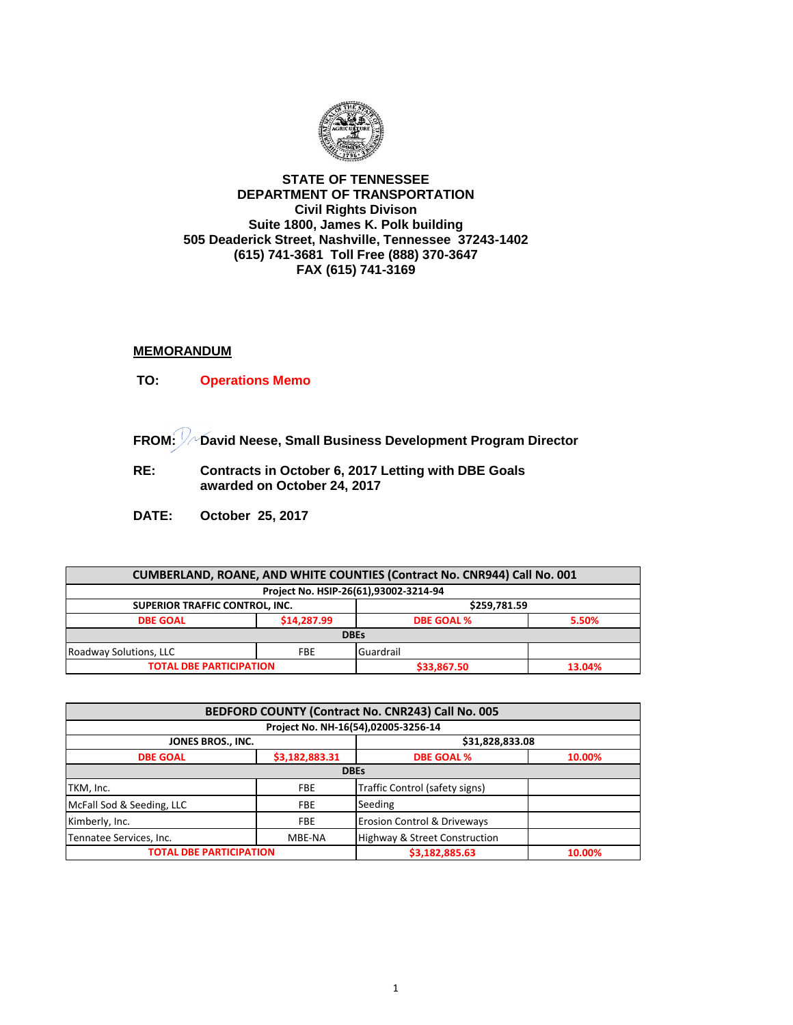

## **STATE OF TENNESSEE DEPARTMENT OF TRANSPORTATION Civil Rights Divison Suite 1800, James K. Polk building 505 Deaderick Street, Nashville, Tennessee 37243-1402 (615) 741-3681 Toll Free (888) 370-3647 FAX (615) 741-3169**

## **MEMORANDUM**

- **TO: Operations Memo**
- **FROM: David Neese, Small Business Development Program Director**
- **RE: Contracts in October 6, 2017 Letting with DBE Goals awarded on October 24, 2017**
- **DATE: October 25, 2017**

| CUMBERLAND, ROANE, AND WHITE COUNTIES (Contract No. CNR944) Call No. 001 |             |                   |        |  |  |
|--------------------------------------------------------------------------|-------------|-------------------|--------|--|--|
| Project No. HSIP-26(61),93002-3214-94                                    |             |                   |        |  |  |
| <b>SUPERIOR TRAFFIC CONTROL, INC.</b>                                    |             | \$259,781.59      |        |  |  |
| <b>DBE GOAL</b>                                                          | \$14,287.99 | <b>DBE GOAL %</b> | 5.50%  |  |  |
| <b>DBEs</b>                                                              |             |                   |        |  |  |
| Roadway Solutions, LLC                                                   | <b>FBE</b>  | Guardrail         |        |  |  |
| <b>TOTAL DBE PARTICIPATION</b>                                           |             | \$33,867.50       | 13.04% |  |  |

| BEDFORD COUNTY (Contract No. CNR243) Call No. 005 |                |                                          |        |
|---------------------------------------------------|----------------|------------------------------------------|--------|
| Project No. NH-16(54),02005-3256-14               |                |                                          |        |
| JONES BROS., INC.                                 |                | \$31,828,833.08                          |        |
| <b>DBE GOAL</b>                                   | \$3,182,883.31 | <b>DBE GOAL %</b>                        | 10.00% |
| <b>DBEs</b>                                       |                |                                          |        |
| TKM, Inc.                                         | <b>FBE</b>     | Traffic Control (safety signs)           |        |
| McFall Sod & Seeding, LLC                         | <b>FBE</b>     | Seeding                                  |        |
| Kimberly, Inc.                                    | <b>FBE</b>     | <b>Erosion Control &amp; Driveways</b>   |        |
| Tennatee Services, Inc.                           | MBE-NA         | <b>Highway &amp; Street Construction</b> |        |
| <b>TOTAL DBE PARTICIPATION</b>                    |                | \$3,182,885.63                           | 10.00% |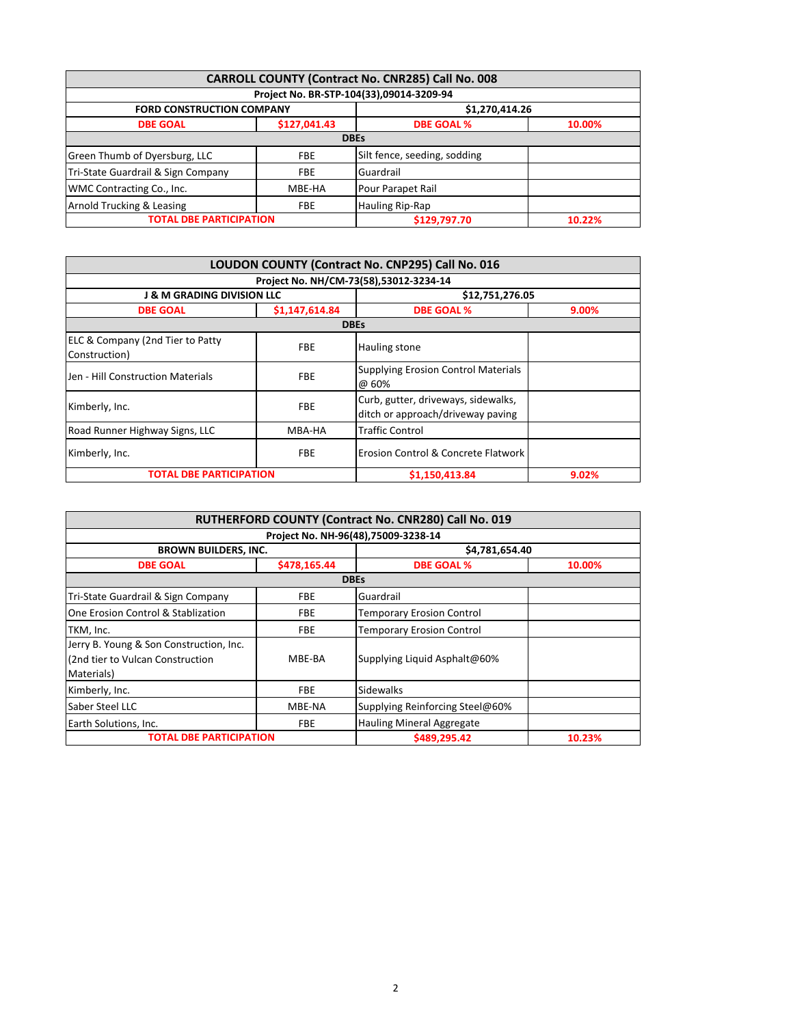| CARROLL COUNTY (Contract No. CNR285) Call No. 008 |              |                                          |        |
|---------------------------------------------------|--------------|------------------------------------------|--------|
|                                                   |              | Project No. BR-STP-104(33),09014-3209-94 |        |
| <b>FORD CONSTRUCTION COMPANY</b>                  |              | \$1,270,414.26                           |        |
| <b>DBE GOAL</b>                                   | \$127,041.43 | <b>DBE GOAL %</b>                        | 10.00% |
| <b>DBEs</b>                                       |              |                                          |        |
| Green Thumb of Dyersburg, LLC                     | <b>FBE</b>   | Silt fence, seeding, sodding             |        |
| Tri-State Guardrail & Sign Company                | <b>FBE</b>   | Guardrail                                |        |
| WMC Contracting Co., Inc.                         | MBE-HA       | Pour Parapet Rail                        |        |
| Arnold Trucking & Leasing                         | <b>FBE</b>   | Hauling Rip-Rap                          |        |
| <b>TOTAL DBE PARTICIPATION</b>                    |              | \$129.797.70                             | 10.22% |

| LOUDON COUNTY (Contract No. CNP295) Call No. 016<br>Project No. NH/CM-73(58),53012-3234-14 |                |                                                                          |       |
|--------------------------------------------------------------------------------------------|----------------|--------------------------------------------------------------------------|-------|
|                                                                                            |                |                                                                          |       |
| <b>DBE GOAL</b>                                                                            | \$1,147,614.84 | <b>DBE GOAL %</b>                                                        | 9.00% |
|                                                                                            |                | <b>DBEs</b>                                                              |       |
| ELC & Company (2nd Tier to Patty<br>Construction)                                          | <b>FBE</b>     | <b>Hauling stone</b>                                                     |       |
| Jen - Hill Construction Materials                                                          | <b>FBE</b>     | <b>Supplying Erosion Control Materials</b><br>@ 60%                      |       |
| Kimberly, Inc.                                                                             | <b>FBE</b>     | Curb, gutter, driveways, sidewalks,<br>ditch or approach/driveway paving |       |
| Road Runner Highway Signs, LLC                                                             | MBA-HA         | <b>Traffic Control</b>                                                   |       |
| Kimberly, Inc.                                                                             | <b>FBE</b>     | Erosion Control & Concrete Flatwork                                      |       |
| <b>TOTAL DBE PARTICIPATION</b>                                                             |                | \$1,150,413.84                                                           | 9.02% |

| RUTHERFORD COUNTY (Contract No. CNR280) Call No. 019<br>Project No. NH-96(48),75009-3238-14 |              |                                  |        |
|---------------------------------------------------------------------------------------------|--------------|----------------------------------|--------|
|                                                                                             |              |                                  |        |
| <b>DBE GOAL</b>                                                                             | \$478,165.44 | <b>DBE GOAL %</b>                | 10.00% |
|                                                                                             |              | <b>DBEs</b>                      |        |
| Tri-State Guardrail & Sign Company                                                          | <b>FBE</b>   | Guardrail                        |        |
| One Erosion Control & Stablization                                                          | <b>FBE</b>   | <b>Temporary Erosion Control</b> |        |
| TKM, Inc.                                                                                   | <b>FBE</b>   | <b>Temporary Erosion Control</b> |        |
| Jerry B. Young & Son Construction, Inc.<br>(2nd tier to Vulcan Construction<br>Materials)   | MBE-BA       | Supplying Liquid Asphalt@60%     |        |
| Kimberly, Inc.                                                                              | <b>FBE</b>   | <b>Sidewalks</b>                 |        |
| Saber Steel LLC                                                                             | MBE-NA       | Supplying Reinforcing Steel@60%  |        |
| Earth Solutions, Inc.                                                                       | <b>FBE</b>   | <b>Hauling Mineral Aggregate</b> |        |
| <b>TOTAL DBE PARTICIPATION</b>                                                              |              | \$489,295.42                     | 10.23% |